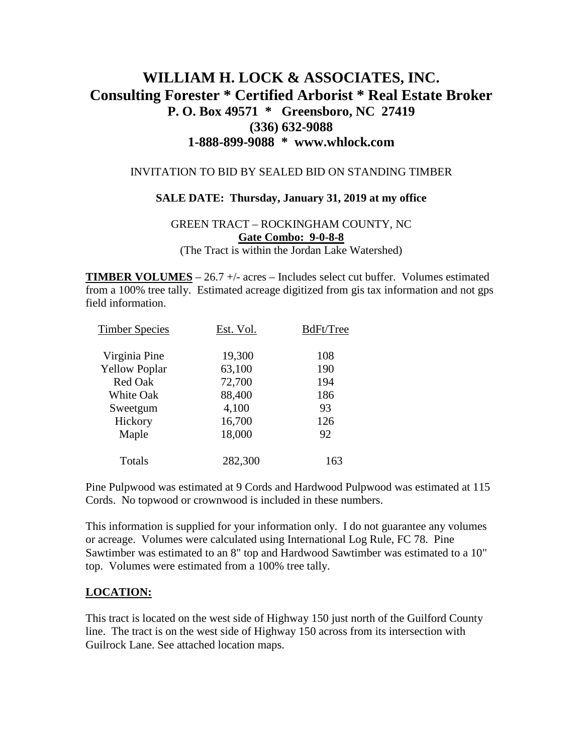# **WILLIAM H. LOCK & ASSOCIATES, INC. Consulting Forester \* Certified Arborist \* Real Estate Broker P. O. Box 49571 \* Greensboro, NC 27419 (336) 632-9088 1-888-899-9088 \* www.whlock.com**

#### INVITATION TO BID BY SEALED BID ON STANDING TIMBER

#### **SALE DATE: Thursday, January 31, 2019 at my office**

### GREEN TRACT – ROCKINGHAM COUNTY, NC **Gate Combo: 9-0-8-8** (The Tract is within the Jordan Lake Watershed)

**TIMBER VOLUMES** – 26.7 +/- acres – Includes select cut buffer. Volumes estimated from a 100% tree tally. Estimated acreage digitized from gis tax information and not gps field information.

| <b>Timber Species</b> | Est. Vol. | BdFt/Tree |
|-----------------------|-----------|-----------|
| Virginia Pine         | 19,300    | 108       |
| <b>Yellow Poplar</b>  | 63,100    | 190       |
| <b>Red Oak</b>        | 72,700    | 194       |
| <b>White Oak</b>      | 88,400    | 186       |
| Sweetgum              | 4,100     | 93        |
| Hickory               | 16,700    | 126       |
| Maple                 | 18,000    | 92        |
| Totals                | 282,300   | 163       |

Pine Pulpwood was estimated at 9 Cords and Hardwood Pulpwood was estimated at 115 Cords. No topwood or crownwood is included in these numbers.

This information is supplied for your information only. I do not guarantee any volumes or acreage. Volumes were calculated using International Log Rule, FC 78. Pine Sawtimber was estimated to an 8" top and Hardwood Sawtimber was estimated to a 10" top. Volumes were estimated from a 100% tree tally.

### **LOCATION:**

This tract is located on the west side of Highway 150 just north of the Guilford County line. The tract is on the west side of Highway 150 across from its intersection with Guilrock Lane. See attached location maps.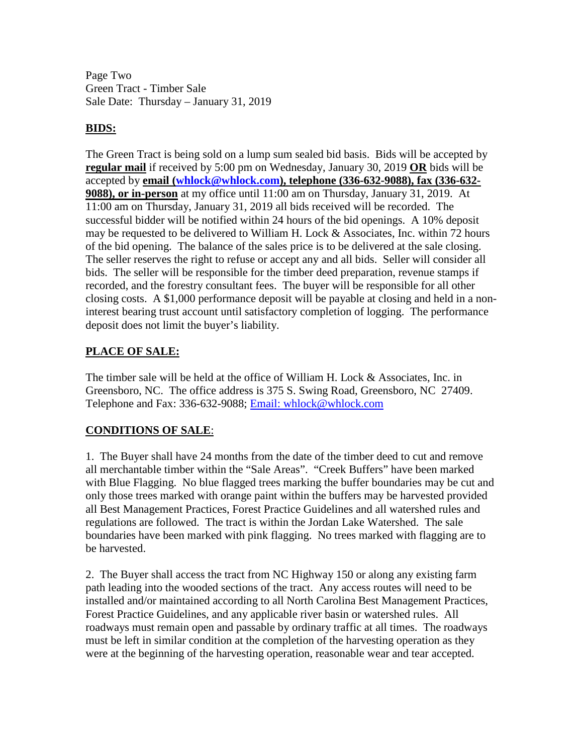Page Two Green Tract - Timber Sale Sale Date: Thursday – January 31, 2019

### **BIDS:**

The Green Tract is being sold on a lump sum sealed bid basis. Bids will be accepted by **regular mail** if received by 5:00 pm on Wednesday, January 30, 2019 **OR** bids will be accepted by **email [\(whlock@whlock.com\)](mailto:whlock@whlock.com), telephone (336-632-9088), fax (336-632- 9088), or in-person** at my office until 11:00 am on Thursday, January 31, 2019. At 11:00 am on Thursday, January 31, 2019 all bids received will be recorded. The successful bidder will be notified within 24 hours of the bid openings. A 10% deposit may be requested to be delivered to William H. Lock & Associates, Inc. within 72 hours of the bid opening. The balance of the sales price is to be delivered at the sale closing. The seller reserves the right to refuse or accept any and all bids. Seller will consider all bids. The seller will be responsible for the timber deed preparation, revenue stamps if recorded, and the forestry consultant fees. The buyer will be responsible for all other closing costs. A \$1,000 performance deposit will be payable at closing and held in a noninterest bearing trust account until satisfactory completion of logging. The performance deposit does not limit the buyer's liability.

## **PLACE OF SALE:**

The timber sale will be held at the office of William H. Lock & Associates, Inc. in Greensboro, NC. The office address is 375 S. Swing Road, Greensboro, NC 27409. Telephone and Fax: 336-632-9088; [Email: whlock@whlock.com](mailto:Email:%20whlock@whlock.com) 

# **CONDITIONS OF SALE**:

1. The Buyer shall have 24 months from the date of the timber deed to cut and remove all merchantable timber within the "Sale Areas". "Creek Buffers" have been marked with Blue Flagging. No blue flagged trees marking the buffer boundaries may be cut and only those trees marked with orange paint within the buffers may be harvested provided all Best Management Practices, Forest Practice Guidelines and all watershed rules and regulations are followed. The tract is within the Jordan Lake Watershed. The sale boundaries have been marked with pink flagging. No trees marked with flagging are to be harvested.

2. The Buyer shall access the tract from NC Highway 150 or along any existing farm path leading into the wooded sections of the tract. Any access routes will need to be installed and/or maintained according to all North Carolina Best Management Practices, Forest Practice Guidelines, and any applicable river basin or watershed rules. All roadways must remain open and passable by ordinary traffic at all times. The roadways must be left in similar condition at the completion of the harvesting operation as they were at the beginning of the harvesting operation, reasonable wear and tear accepted.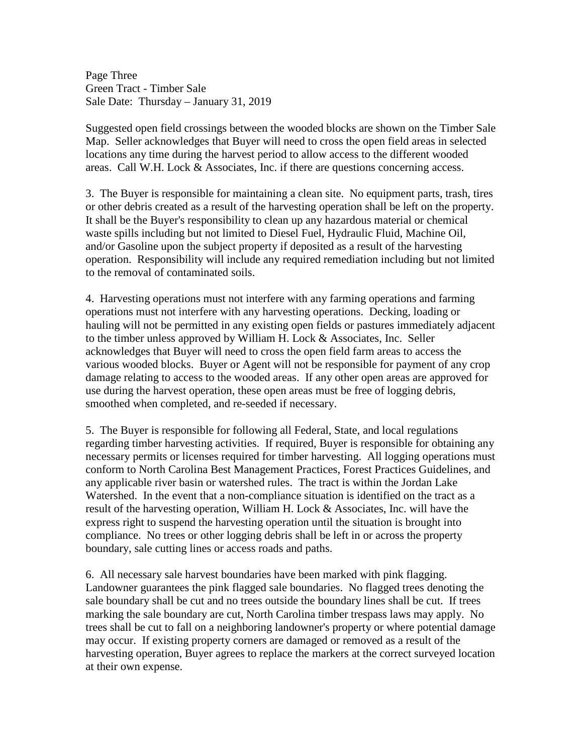Page Three Green Tract - Timber Sale Sale Date: Thursday – January 31, 2019

Suggested open field crossings between the wooded blocks are shown on the Timber Sale Map. Seller acknowledges that Buyer will need to cross the open field areas in selected locations any time during the harvest period to allow access to the different wooded areas. Call W.H. Lock & Associates, Inc. if there are questions concerning access.

3. The Buyer is responsible for maintaining a clean site. No equipment parts, trash, tires or other debris created as a result of the harvesting operation shall be left on the property. It shall be the Buyer's responsibility to clean up any hazardous material or chemical waste spills including but not limited to Diesel Fuel, Hydraulic Fluid, Machine Oil, and/or Gasoline upon the subject property if deposited as a result of the harvesting operation. Responsibility will include any required remediation including but not limited to the removal of contaminated soils.

4. Harvesting operations must not interfere with any farming operations and farming operations must not interfere with any harvesting operations. Decking, loading or hauling will not be permitted in any existing open fields or pastures immediately adjacent to the timber unless approved by William H. Lock & Associates, Inc. Seller acknowledges that Buyer will need to cross the open field farm areas to access the various wooded blocks. Buyer or Agent will not be responsible for payment of any crop damage relating to access to the wooded areas. If any other open areas are approved for use during the harvest operation, these open areas must be free of logging debris, smoothed when completed, and re-seeded if necessary.

5. The Buyer is responsible for following all Federal, State, and local regulations regarding timber harvesting activities. If required, Buyer is responsible for obtaining any necessary permits or licenses required for timber harvesting. All logging operations must conform to North Carolina Best Management Practices, Forest Practices Guidelines, and any applicable river basin or watershed rules. The tract is within the Jordan Lake Watershed. In the event that a non-compliance situation is identified on the tract as a result of the harvesting operation, William H. Lock & Associates, Inc. will have the express right to suspend the harvesting operation until the situation is brought into compliance. No trees or other logging debris shall be left in or across the property boundary, sale cutting lines or access roads and paths.

6. All necessary sale harvest boundaries have been marked with pink flagging. Landowner guarantees the pink flagged sale boundaries. No flagged trees denoting the sale boundary shall be cut and no trees outside the boundary lines shall be cut. If trees marking the sale boundary are cut, North Carolina timber trespass laws may apply. No trees shall be cut to fall on a neighboring landowner's property or where potential damage may occur. If existing property corners are damaged or removed as a result of the harvesting operation, Buyer agrees to replace the markers at the correct surveyed location at their own expense.